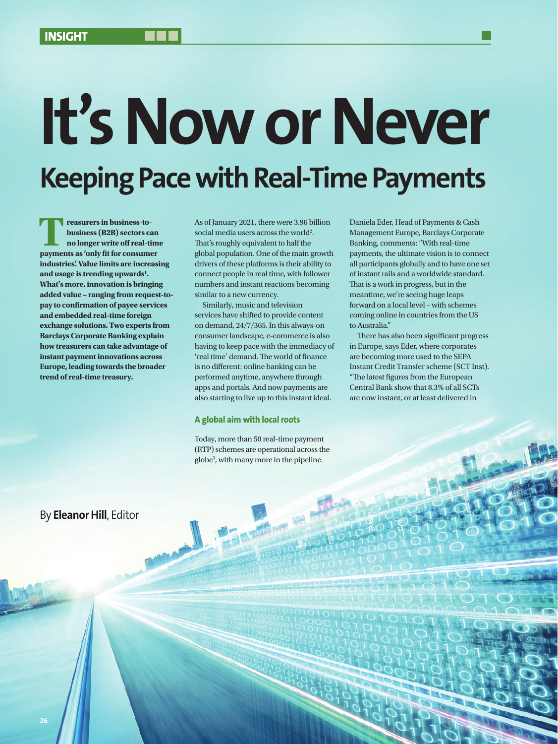# **It's Now or Never Keeping Pace with Real-Time Payments**

**Treasurers in business-to-**<br>business (B2B) sectors can<br>no longer write off real-tim<br>payments as 'only fit for consumer **business (B2B) sectors can no longer write off real-time industries'. Value limits are increasing and usage is trending upwards1 . What's more, innovation is bringing added value – ranging from request-topay to confirmation of payee services and embedded real-time foreign exchange solutions. Two experts from Barclays Corporate Banking explain how treasurers can take advantage of instant payment innovations across Europe, leading towards the broader trend of real-time treasury.**

As of January 2021, there were 3.96 billion social media users across the world<sup>2</sup>. That's roughly equivalent to half the global population. One of the main growth drivers of these platforms is their ability to connect people in real time, with follower numbers and instant reactions becoming similar to a new currency.

Similarly, music and television services have shifted to provide content on demand, 24/7/365. In this always-on consumer landscape, e-commerce is also having to keep pace with the immediacy of 'real time' demand. The world of finance is no different: online banking can be performed anytime, anywhere through apps and portals. And now payments are also starting to live up to this instant ideal.

### **A global aim with local roots**

Today, more than 50 real-time payment (RTP) schemes are operational across the globe3 , with many more in the pipeline.

**Today** 

Daniela Eder, Head of Payments & Cash Management Europe, Barclays Corporate Banking, comments: "With real-time payments, the ultimate vision is to connect all participants globally and to have one set of instant rails and a worldwide standard. That is a work in progress, but in the meantime, we're seeing huge leaps forward on a local level – with schemes coming online in countries from the US to Australia."

There has also been significant progress in Europe, says Eder, where corporates are becoming more used to the SEPA Instant Credit Transfer scheme (SCT Inst). "The latest figures from the European Central Bank show that 8.3% of all SCTs are now instant, or at least delivered in

# By **Eleanor Hill**, Editor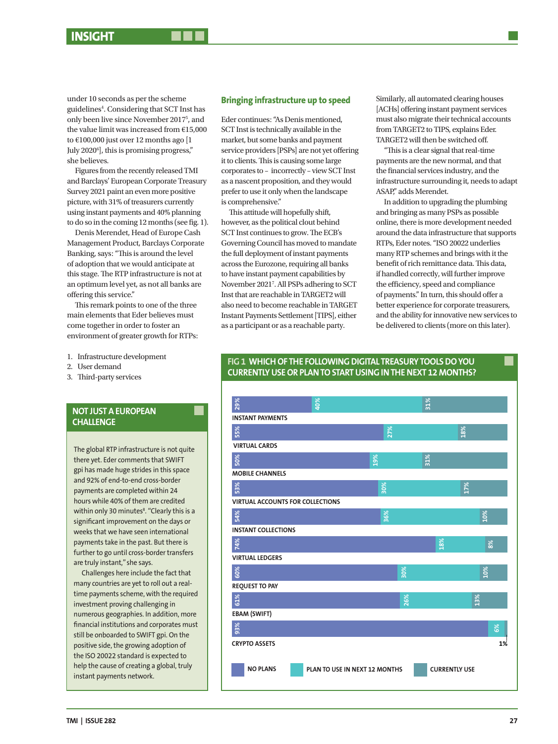under 10 seconds as per the scheme guidelines<sup>4</sup>. Considering that SCT Inst has only been live since November 20175 , and the value limit was increased from €15,000 to €100,000 just over 12 months ago [1 July 20206 ], this is promising progress," she believes.

Figures from the recently released TMI and Barclays' European Corporate Treasury Survey 2021 paint an even more positive picture, with 31% of treasurers currently using instant payments and 40% planning to do so in the coming 12 months (see fig. 1).

Denis Merendet, Head of Europe Cash Management Product, Barclays Corporate Banking, says: "This is around the level of adoption that we would anticipate at this stage. The RTP infrastructure is not at an optimum level yet, as not all banks are offering this service."

This remark points to one of the three main elements that Eder believes must come together in order to foster an environment of greater growth for RTPs:

- 1. Infrastructure development
- 2. User demand
- 3. Third-party services

# **NOT JUST A EUROPEAN CHALLENGE**

The global RTP infrastructure is not quite there yet. Eder comments that SWIFT gpi has made huge strides in this space and 92% of end-to-end cross-border payments are completed within 24 hours while 40% of them are credited within only 30 minutes<sup>8</sup>. "Clearly this is a significant improvement on the days or weeks that we have seen international payments take in the past. But there is further to go until cross-border transfers are truly instant," she says.

Challenges here include the fact that many countries are yet to roll out a realtime payments scheme, with the required investment proving challenging in numerous geographies. In addition, more financial institutions and corporates must still be onboarded to SWIFT gpi. On the positive side, the growing adoption of the ISO 20022 standard is expected to help the cause of creating a global, truly instant payments network.

### **Bringing infrastructure up to speed**

Eder continues: "As Denis mentioned, SCT Inst is technically available in the market, but some banks and payment service providers [PSPs] are not yet offering it to clients. This is causing some large corporates to – incorrectly – view SCT Inst as a nascent proposition, and they would prefer to use it only when the landscape is comprehensive."

This attitude will hopefully shift, however, as the political clout behind SCT Inst continues to grow. The ECB's Governing Council has moved to mandate the full deployment of instant payments across the Eurozone, requiring all banks to have instant payment capabilities by November 20217 . All PSPs adhering to SCT Inst that are reachable in TARGET2 will also need to become reachable in TARGET Instant Payments Settlement [TIPS], either as a participant or as a reachable party.

Similarly, all automated clearing houses [ACHs] offering instant payment services must also migrate their technical accounts from TARGET2 to TIPS, explains Eder. TARGET2 will then be switched off.

"This is a clear signal that real-time payments are the new normal, and that the financial services industry, and the infrastructure surrounding it, needs to adapt ASAP," adds Merendet.

In addition to upgrading the plumbing and bringing as many PSPs as possible online, there is more development needed around the data infrastructure that supports RTPs, Eder notes. "ISO 20022 underlies many RTP schemes and brings with it the benefit of rich remittance data. This data, if handled correctly, will further improve the efficiency, speed and compliance of payments." In turn, this should offer a better experience for corporate treasurers, and the ability for innovative new services to be delivered to clients (more on this later).

### **FIG 1 WHICH OF THE FOLLOWING DIGITAL TREASURY TOOLS DO YOU CURRENTLY USE OR PLAN TO START USING IN THE NEXT 12 MONTHS?**

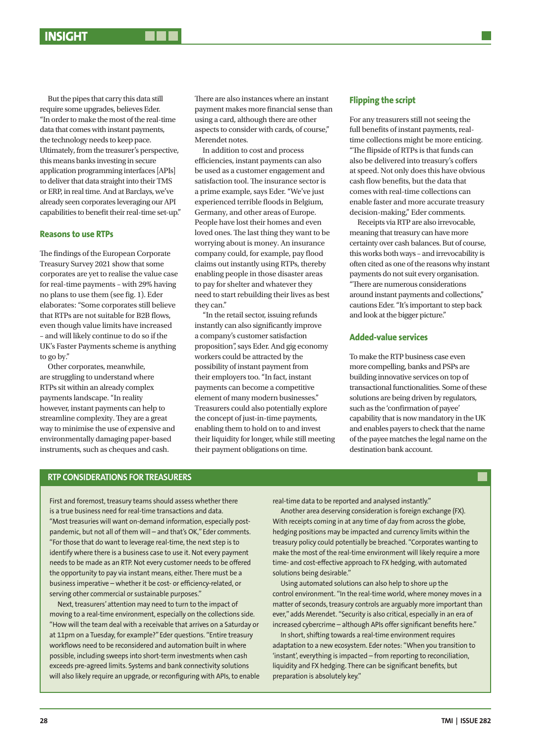But the pipes that carry this data still require some upgrades, believes Eder. "In order to make the most of the real-time data that comes with instant payments, the technology needs to keep pace. Ultimately, from the treasurer's perspective, this means banks investing in secure application programming interfaces [APIs] to deliver that data straight into their TMS or ERP, in real time. And at Barclays, we've already seen corporates leveraging our API capabilities to benefit their real-time set-up."

### **Reasons to use RTPs**

The findings of the European Corporate Treasury Survey 2021 show that some corporates are yet to realise the value case for real-time payments – with 29% having no plans to use them (see fig. 1). Eder elaborates: "Some corporates still believe that RTPs are not suitable for B2B flows, even though value limits have increased – and will likely continue to do so if the UK's Faster Payments scheme is anything to go by."

Other corporates, meanwhile, are struggling to understand where RTPs sit within an already complex payments landscape. "In reality however, instant payments can help to streamline complexity. They are a great way to minimise the use of expensive and environmentally damaging paper-based instruments, such as cheques and cash.

There are also instances where an instant payment makes more financial sense than using a card, although there are other aspects to consider with cards, of course," Merendet notes.

In addition to cost and process efficiencies, instant payments can also be used as a customer engagement and satisfaction tool. The insurance sector is a prime example, says Eder. "We've just experienced terrible floods in Belgium, Germany, and other areas of Europe. People have lost their homes and even loved ones. The last thing they want to be worrying about is money. An insurance company could, for example, pay flood claims out instantly using RTPs, thereby enabling people in those disaster areas to pay for shelter and whatever they need to start rebuilding their lives as best they can."

"In the retail sector, issuing refunds instantly can also significantly improve a company's customer satisfaction proposition", says Eder. And gig economy workers could be attracted by the possibility of instant payment from their employers too. "In fact, instant payments can become a competitive element of many modern businesses." Treasurers could also potentially explore the concept of just-in-time payments, enabling them to hold on to and invest their liquidity for longer, while still meeting their payment obligations on time.

### **Flipping the script**

For any treasurers still not seeing the full benefits of instant payments, realtime collections might be more enticing. "The flipside of RTPs is that funds can also be delivered into treasury's coffers at speed. Not only does this have obvious cash flow benefits, but the data that comes with real-time collections can enable faster and more accurate treasury decision-making," Eder comments.

Receipts via RTP are also irrevocable, meaning that treasury can have more certainty over cash balances. But of course, this works both ways – and irrevocability is often cited as one of the reasons why instant payments do not suit every organisation. "There are numerous considerations around instant payments and collections," cautions Eder. "It's important to step back and look at the bigger picture."

## **Added-value services**

To make the RTP business case even more compelling, banks and PSPs are building innovative services on top of transactional functionalities. Some of these solutions are being driven by regulators, such as the 'confirmation of payee' capability that is now mandatory in the UK and enables payers to check that the name of the payee matches the legal name on the destination bank account.

# **RTP CONSIDERATIONS FOR TREASURERS**

First and foremost, treasury teams should assess whether there is a true business need for real-time transactions and data. "Most treasuries will want on-demand information, especially postpandemic, but not all of them will – and that's OK," Eder comments. "For those that do want to leverage real-time, the next step is to identify where there is a business case to use it. Not every payment needs to be made as an RTP. Not every customer needs to be offered the opportunity to pay via instant means, either. There must be a business imperative – whether it be cost- or efficiency-related, or serving other commercial or sustainable purposes."

Next, treasurers' attention may need to turn to the impact of moving to a real-time environment, especially on the collections side. "How will the team deal with a receivable that arrives on a Saturday or at 11pm on a Tuesday, for example?" Eder questions. "Entire treasury workflows need to be reconsidered and automation built in where possible, including sweeps into short-term investments when cash exceeds pre-agreed limits. Systems and bank connectivity solutions will also likely require an upgrade, or reconfiguring with APIs, to enable real-time data to be reported and analysed instantly."

Another area deserving consideration is foreign exchange (FX). With receipts coming in at any time of day from across the globe, hedging positions may be impacted and currency limits within the treasury policy could potentially be breached. "Corporates wanting to make the most of the real-time environment will likely require a more time- and cost-effective approach to FX hedging, with automated solutions being desirable."

Using automated solutions can also help to shore up the control environment. "In the real-time world, where money moves in a matter of seconds, treasury controls are arguably more important than ever," adds Merendet. "Security is also critical, especially in an era of increased cybercrime – although APIs offer significant benefits here."

In short, shifting towards a real-time environment requires adaptation to a new ecosystem. Eder notes: "When you transition to 'instant', everything is impacted – from reporting to reconciliation, liquidity and FX hedging. There can be significant benefits, but preparation is absolutely key."